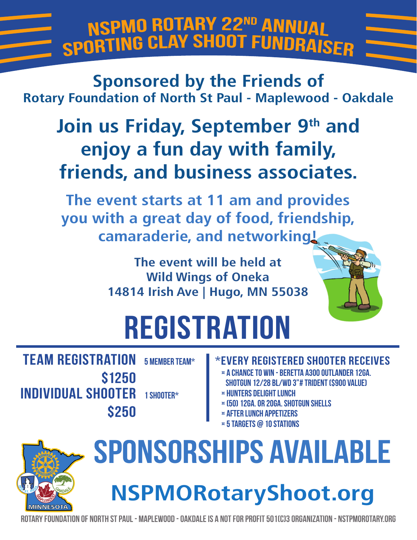# **NSPMO ROTARY 22ND ANNUAL<br>SPORTING CLAY SHOOT FUNDRAISER**

**Sponsored by the Friends of Rotary Foundation of North St Paul - Maplewood - Oakdale**

## **Join us Friday, September 9th and enjoy a fun day with family, friends, and business associates.**

**The event starts at 11 am and provides you with a great day of food, friendship, camaraderie, and networking!**

> **The event will be held at Wild Wings of Oneka 14814 Irish Ave | Hugo, MN 55038**



# **registration**

**team registration \$1250 5 member team\* individual shooter \$250 1 shooter\***

### **\*every registered shooter receives**

- **¤ a chance to win beretta a300 OUTLANDER 12ga. shotgun 12/28 BL/WD 3"# TRIDENT (\$900 value)**
- **¤ hunters delight lunch**
- **¤ (50) 12ga. OR 20GA. shotgun shells**
- **¤ after lunch appetizers**
- **¤ 5 targets @ 10 stations**



# **sponsorships available**

## **NSPMORotaryShoot.org**

**rotary foundation of north st paul - maplewood - oakdale is a not for profit 501(c)3 organization - nstpmorotary.org**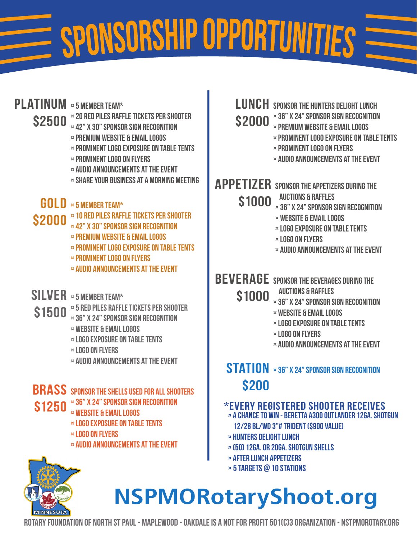# $\equiv$  sponsorship opportunities  $\equiv$

#### **platinum ¤ 5 member team\* \$2500 ¤ 20 red piles raffle tickets per shooter ¤ 42" x 30" sponsor sign recognition ¤ premium website & email logos ¤ prominent logo exposure on table tents ¤ prominent logo on flyers ¤ audio announcements at the event ¤ share your business at a morning meeting gold ¤ 5 member team\* \$2000 ¤ 10 red piles raffle tickets per shooter ¤ 42" x 30" sponsor sign recognition ¤ premium website & email logos ¤ prominent logo exposure on table tents ¤ prominent logo on flyers ¤ audio announcements at the event silver ¤ 5 member team\* \$1500 ¤ 5 red piles raffle tickets per shooter ¤ 36" x 24" sponsor sign recognition ¤ website & email logos**

- **¤ logo exposure on table tents**
- **¤ logo on flyers**
- **¤ audio announcements at the event**

#### **brass sponsor the shells used for all shooters \$1250 ¤ 36" x 24" sponsor sign recognition ¤ website & email logos ¤ logo exposure on table tents**

- **¤ logo on flyers**
- **¤ audio announcements at the event**

**lunch sponsor the hunters delight lunch \$2000 ¤ 36" x 24" sponsor sign recognition** 

- **¤ premium website & email logos**
- **¤ prominent logo exposure on table tents**
- **¤ prominent logo on flyers**
- **¤ audio announcements at the event**

### **appetizer sponsor the appetizers during the \$1000**

- **auctions & raffles**
- **¤ 36" x 24" sponsor sign recognition ¤ website & email logos**
	- **¤ logo exposure on table tents**
	- **¤ logo on flyers**
- **¤ audio announcements at the event**

**beverage sponsor the beverages during the \$1000**

- **auctions & raffles**
- **¤ 36" x 24" sponsor sign recognition**
- **¤ website & email logos**
- **¤ logo exposure on table tents**
- **¤ logo on flyers**
- **¤ audio announcements at the event**

### **station ¤ 36" x 24" sponsor sign recognition \$200**

### **\*every registered shooter receives**

- **¤ a chance to win beretta a300 OUTLANDER 12ga. shotgun 12/28 BL/WD 3"# TRIDENT (\$900 value)**
- **¤ hunters delight lunch**
- **¤ (50) 12ga. OR 20GA. shotgun shells**
- **¤ after lunch appetizers**
- **¤ 5 targets @ 10 stations**

## **NSPMORotaryShoot.org**

**rotary foundation of north st paul - maplewood - oakdale is a not for profit 501(c)3 organization - nstpmorotary.org**